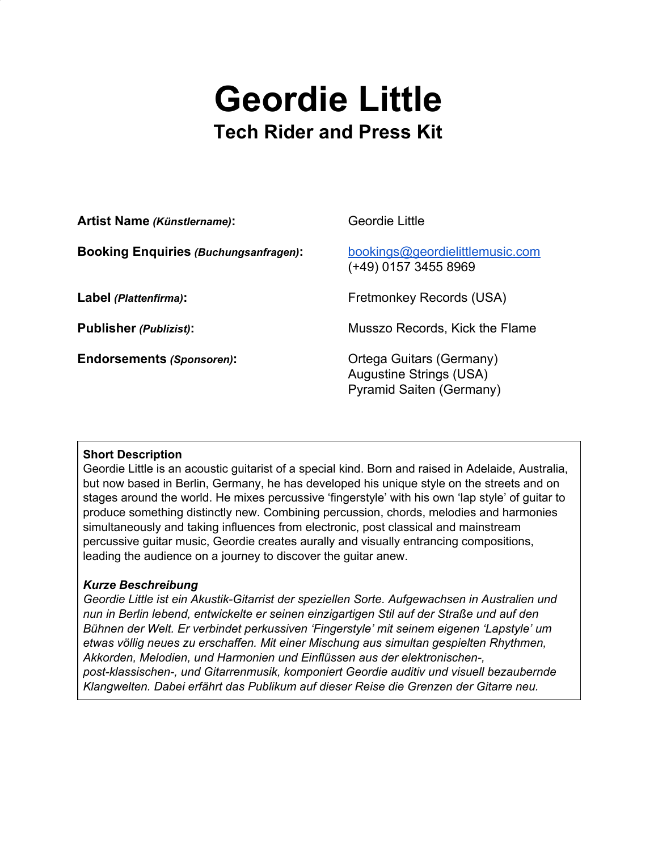# **Geordie Little Tech Rider and Press Kit**

| <b>Artist Name (Künstlername):</b>           | Geordie Little                                                                                |
|----------------------------------------------|-----------------------------------------------------------------------------------------------|
| <b>Booking Enquiries (Buchungsanfragen):</b> | bookings@geordielittlemusic.com<br>(+49) 0157 3455 8969                                       |
| Label (Plattenfirma):                        | Fretmonkey Records (USA)                                                                      |
| <b>Publisher (Publizist):</b>                | Musszo Records, Kick the Flame                                                                |
| <b>Endorsements (Sponsoren):</b>             | Ortega Guitars (Germany)<br><b>Augustine Strings (USA)</b><br><b>Pyramid Saiten (Germany)</b> |

### **Short Description**

Geordie Little is an acoustic guitarist of a special kind. Born and raised in Adelaide, Australia, but now based in Berlin, Germany, he has developed his unique style on the streets and on stages around the world. He mixes percussive 'fingerstyle' with his own 'lap style' of guitar to produce something distinctly new. Combining percussion, chords, melodies and harmonies simultaneously and taking influences from electronic, post classical and mainstream percussive guitar music, Geordie creates aurally and visually entrancing compositions, leading the audience on a journey to discover the guitar anew.

### *Kurze Beschreibung*

*Geordie Little ist ein Akustik-Gitarrist der speziellen Sorte. Aufgewachsen in Australien und nun in Berlin lebend, entwickelte er seinen einzigartigen Stil auf der Straße und auf den Bühnen der Welt. Er verbindet perkussiven 'Fingerstyle' mit seinem eigenen 'Lapstyle' um etwas völlig neues zu erschaffen. Mit einer Mischung aus simultan gespielten Rhythmen, Akkorden, Melodien, und Harmonien und Einflüssen aus der elektronischen-, post-klassischen-, und Gitarrenmusik, komponiert Geordie auditiv und visuell bezaubernde Klangwelten. Dabei erfährt das Publikum auf dieser Reise die Grenzen der Gitarre neu.*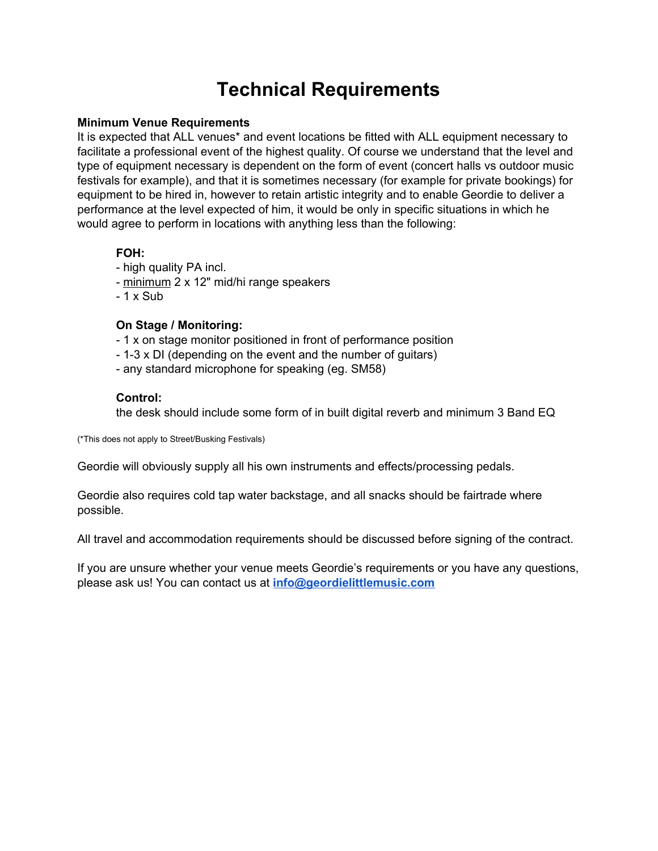## **Technical Requirements**

#### **Minimum Venue Requirements**

It is expected that ALL venues\* and event locations be fitted with ALL equipment necessary to facilitate a professional event of the highest quality. Of course we understand that the level and type of equipment necessary is dependent on the form of event (concert halls vs outdoor music festivals for example), and that it is sometimes necessary (for example for private bookings) for equipment to be hired in, however to retain artistic integrity and to enable Geordie to deliver a performance at the level expected of him, it would be only in specific situations in which he would agree to perform in locations with anything less than the following:

#### **FOH:**

- high quality PA incl.
- minimum 2 x 12" mid/hi range speakers
- $-1$  x Sub

#### **On Stage / Monitoring:**

- 1 x on stage monitor positioned in front of performance position
- 1-3 x DI (depending on the event and the number of guitars)
- any standard microphone for speaking (eg. SM58)

#### **Control:**

the desk should include some form of in built digital reverb and minimum 3 Band EQ

(\*This does not apply to Street/Busking Festivals)

Geordie will obviously supply all his own instruments and effects/processing pedals.

Geordie also requires cold tap water backstage, and all snacks should be fairtrade where possible.

All travel and accommodation requirements should be discussed before signing of the contract.

If you are unsure whether your venue meets Geordie's requirements or you have any questions, please ask us! You can contact us at **[info@geordielittlemusic.com](mailto:info@geordielittlemusic.com)**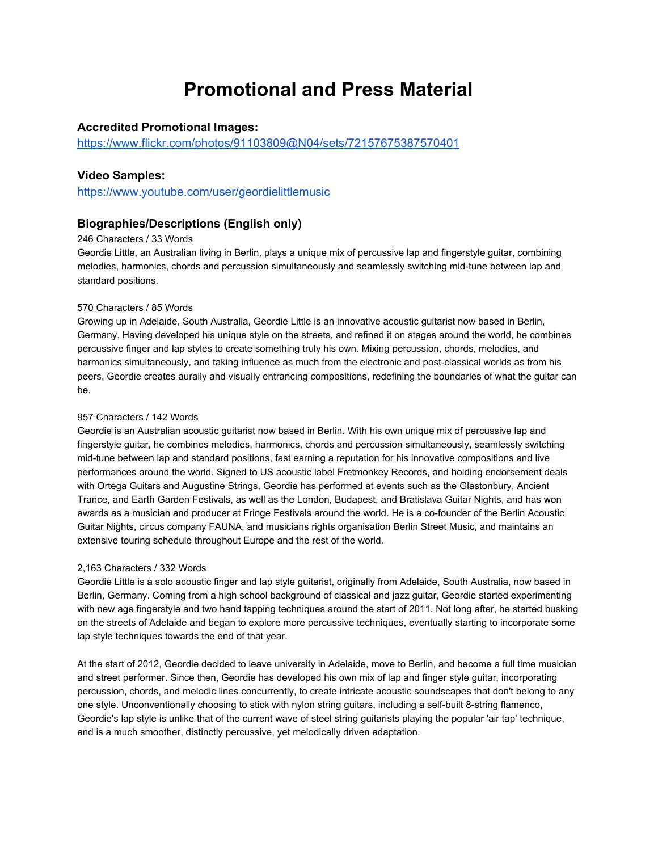### **Promotional and Press Material**

#### **Accredited Promotional Images:**

<https://www.flickr.com/photos/91103809@N04/sets/72157675387570401>

#### **Video Samples:**

<https://www.youtube.com/user/geordielittlemusic>

#### **Biographies/Descriptions (English only)**

#### 246 Characters / 33 Words

Geordie Little, an Australian living in Berlin, plays a unique mix of percussive lap and fingerstyle guitar, combining melodies, harmonics, chords and percussion simultaneously and seamlessly switching mid-tune between lap and standard positions.

#### 570 Characters / 85 Words

Growing up in Adelaide, South Australia, Geordie Little is an innovative acoustic guitarist now based in Berlin, Germany. Having developed his unique style on the streets, and refined it on stages around the world, he combines percussive finger and lap styles to create something truly his own. Mixing percussion, chords, melodies, and harmonics simultaneously, and taking influence as much from the electronic and post-classical worlds as from his peers, Geordie creates aurally and visually entrancing compositions, redefining the boundaries of what the guitar can be.

#### 957 Characters / 142 Words

Geordie is an Australian acoustic guitarist now based in Berlin. With his own unique mix of percussive lap and fingerstyle guitar, he combines melodies, harmonics, chords and percussion simultaneously, seamlessly switching mid-tune between lap and standard positions, fast earning a reputation for his innovative compositions and live performances around the world. Signed to US acoustic label Fretmonkey Records, and holding endorsement deals with Ortega Guitars and Augustine Strings, Geordie has performed at events such as the Glastonbury, Ancient Trance, and Earth Garden Festivals, as well as the London, Budapest, and Bratislava Guitar Nights, and has won awards as a musician and producer at Fringe Festivals around the world. He is a co-founder of the Berlin Acoustic Guitar Nights, circus company FAUNA, and musicians rights organisation Berlin Street Music, and maintains an extensive touring schedule throughout Europe and the rest of the world.

#### 2,163 Characters / 332 Words

Geordie Little is a solo acoustic finger and lap style guitarist, originally from Adelaide, South Australia, now based in Berlin, Germany. Coming from a high school background of classical and jazz guitar, Geordie started experimenting with new age fingerstyle and two hand tapping techniques around the start of 2011. Not long after, he started busking on the streets of Adelaide and began to explore more percussive techniques, eventually starting to incorporate some lap style techniques towards the end of that year.

At the start of 2012, Geordie decided to leave university in Adelaide, move to Berlin, and become a full time musician and street performer. Since then, Geordie has developed his own mix of lap and finger style guitar, incorporating percussion, chords, and melodic lines concurrently, to create intricate acoustic soundscapes that don't belong to any one style. Unconventionally choosing to stick with nylon string guitars, including a self-built 8-string flamenco, Geordie's lap style is unlike that of the current wave of steel string guitarists playing the popular 'air tap' technique, and is a much smoother, distinctly percussive, yet melodically driven adaptation.